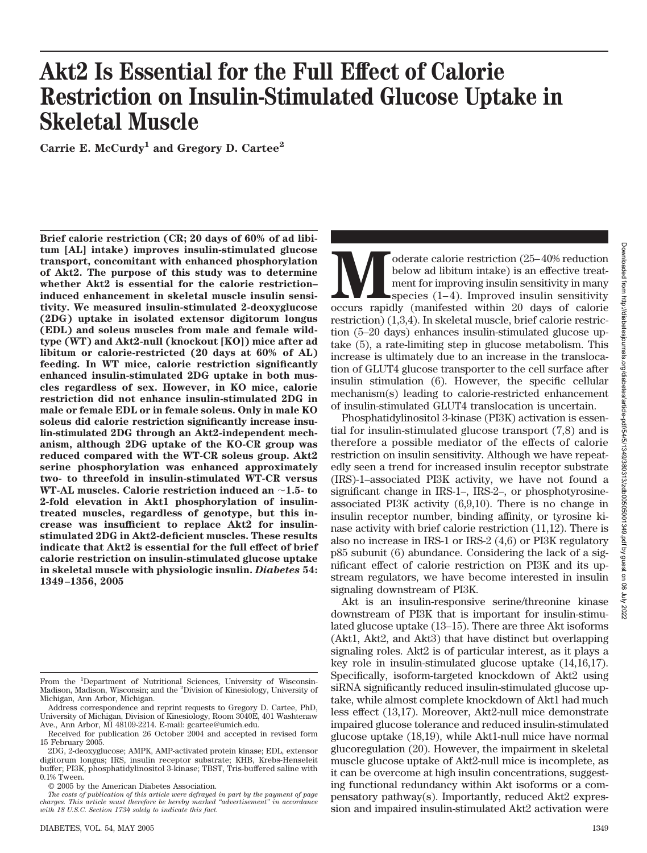# **Moderate calorie restriction** (25–40% reduction below ad libitum intake) is an effective treatment for improving insulin sensitivity in many species (1–4). Improved insulin sensitivity occurs rapidly (manifested within 20 below ad libitum intake) is an effective treatment for improving insulin sensitivity in many species  $(1-4)$ . Improved insulin sensitivity restriction) (1,3,4). In skeletal muscle, brief calorie restriction (5–20 days) enhances insulin-stimulated glucose uptake (5), a rate-limiting step in glucose metabolism. This increase is ultimately due to an increase in the translocation of GLUT4 glucose transporter to the cell surface after insulin stimulation (6). However, the specific cellular

of insulin-stimulated GLUT4 translocation is uncertain. Phosphatidylinositol 3-kinase (PI3K) activation is essential for insulin-stimulated glucose transport (7,8) and is therefore a possible mediator of the effects of calorie restriction on insulin sensitivity. Although we have repeatedly seen a trend for increased insulin receptor substrate (IRS)-1–associated PI3K activity, we have not found a significant change in IRS-1–, IRS-2–, or phosphotyrosineassociated PI3K activity (6,9,10). There is no change in insulin receptor number, binding affinity, or tyrosine kinase activity with brief calorie restriction (11,12). There is also no increase in IRS-1 or IRS-2 (4,6) or PI3K regulatory p85 subunit (6) abundance. Considering the lack of a significant effect of calorie restriction on PI3K and its upstream regulators, we have become interested in insulin signaling downstream of PI3K.

mechanism(s) leading to calorie-restricted enhancement

Akt is an insulin-responsive serine/threonine kinase downstream of PI3K that is important for insulin-stimulated glucose uptake (13–15). There are three Akt isoforms (Akt1, Akt2, and Akt3) that have distinct but overlapping signaling roles. Akt2 is of particular interest, as it plays a key role in insulin-stimulated glucose uptake (14,16,17). Specifically, isoform-targeted knockdown of Akt2 using siRNA significantly reduced insulin-stimulated glucose uptake, while almost complete knockdown of Akt1 had much less effect (13,17). Moreover, Akt2-null mice demonstrate impaired glucose tolerance and reduced insulin-stimulated glucose uptake (18,19), while Akt1-null mice have normal glucoregulation (20). However, the impairment in skeletal muscle glucose uptake of Akt2-null mice is incomplete, as it can be overcome at high insulin concentrations, suggesting functional redundancy within Akt isoforms or a compensatory pathway(s). Importantly, reduced Akt2 expression and impaired insulin-stimulated Akt2 activation were

# **Akt2 Is Essential for the Full Effect of Calorie Restriction on Insulin-Stimulated Glucose Uptake in Skeletal Muscle**

**Carrie E. McCurdy1 and Gregory D. Cartee2**

**Brief calorie restriction (CR; 20 days of 60% of ad libitum [AL] intake) improves insulin-stimulated glucose transport, concomitant with enhanced phosphorylation of Akt2. The purpose of this study was to determine whether Akt2 is essential for the calorie restriction– induced enhancement in skeletal muscle insulin sensitivity. We measured insulin-stimulated 2-deoxyglucose (2DG) uptake in isolated extensor digitorum longus (EDL) and soleus muscles from male and female wildtype (WT) and Akt2-null (knockout [KO]) mice after ad libitum or calorie-restricted (20 days at 60% of AL) feeding. In WT mice, calorie restriction significantly enhanced insulin-stimulated 2DG uptake in both muscles regardless of sex. However, in KO mice, calorie restriction did not enhance insulin-stimulated 2DG in male or female EDL or in female soleus. Only in male KO soleus did calorie restriction significantly increase insulin-stimulated 2DG through an Akt2-independent mechanism, although 2DG uptake of the KO-CR group was reduced compared with the WT-CR soleus group. Akt2 serine phosphorylation was enhanced approximately two- to threefold in insulin-stimulated WT-CR versus WT-AL muscles. Calorie restriction induced an 1.5- to 2-fold elevation in Akt1 phosphorylation of insulintreated muscles, regardless of genotype, but this increase was insufficient to replace Akt2 for insulinstimulated 2DG in Akt2-deficient muscles. These results indicate that Akt2 is essential for the full effect of brief calorie restriction on insulin-stimulated glucose uptake in skeletal muscle with physiologic insulin.** *Diabetes* **54: 1349–1356, 2005**

**Ally** 

From the <sup>1</sup>Department of Nutritional Sciences, University of Wisconsin-Madison, Madison, Wisconsin; and the <sup>2</sup>Division of Kinesiology, University of Michigan, Ann Arbor, Michigan.

Address correspondence and reprint requests to Gregory D. Cartee, PhD, University of Michigan, Division of Kinesiology, Room 3040E, 401 Washtenaw Ave., Ann Arbor, MI 48109-2214. E-mail: gcartee@umich.edu.

Received for publication 26 October 2004 and accepted in revised form 15 February 2005.

<sup>2</sup>DG, 2-deoxyglucose; AMPK, AMP-activated protein kinase; EDL, extensor digitorum longus; IRS, insulin receptor substrate; KHB, Krebs-Henseleit buffer; PI3K, phosphatidylinositol 3-kinase; TBST, Tris-buffered saline with 0.1% Tween.

<sup>© 2005</sup> by the American Diabetes Association.

*The costs of publication of this article were defrayed in part by the payment of page charges. This article must therefore be hereby marked "advertisement" in accordance with 18 U.S.C. Section 1734 solely to indicate this fact.*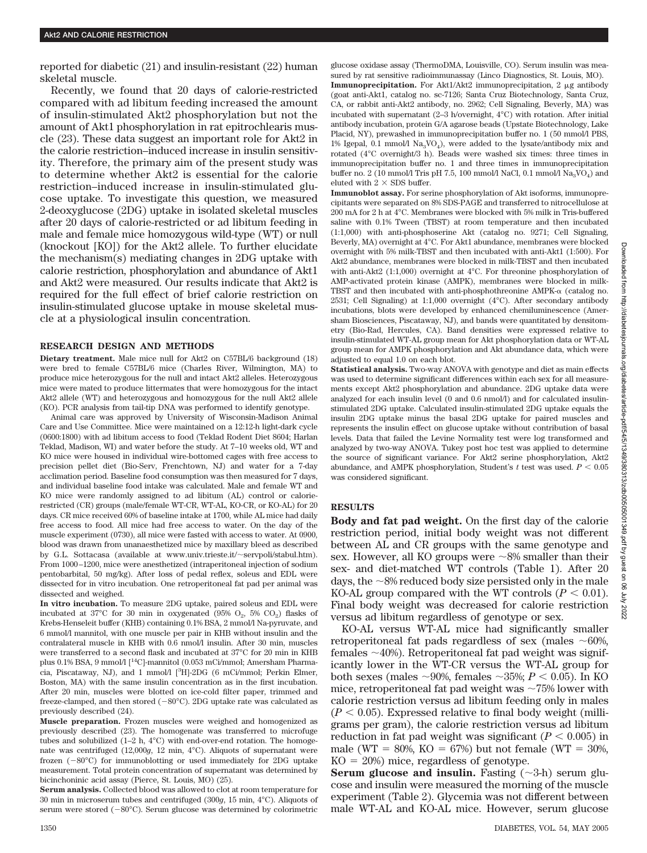reported for diabetic (21) and insulin-resistant (22) human skeletal muscle.

Recently, we found that 20 days of calorie-restricted compared with ad libitum feeding increased the amount of insulin-stimulated Akt2 phosphorylation but not the amount of Akt1 phosphorylation in rat epitrochlearis muscle (23). These data suggest an important role for Akt2 in the calorie restriction–induced increase in insulin sensitivity. Therefore, the primary aim of the present study was to determine whether Akt2 is essential for the calorie restriction–induced increase in insulin-stimulated glucose uptake. To investigate this question, we measured 2-deoxyglucose (2DG) uptake in isolated skeletal muscles after 20 days of calorie-restricted or ad libitum feeding in male and female mice homozygous wild-type (WT) or null (knockout [KO]) for the Akt2 allele. To further elucidate the mechanism(s) mediating changes in 2DG uptake with calorie restriction, phosphorylation and abundance of Akt1 and Akt2 were measured. Our results indicate that Akt2 is required for the full effect of brief calorie restriction on insulin-stimulated glucose uptake in mouse skeletal muscle at a physiological insulin concentration.

## **RESEARCH DESIGN AND METHODS**

**Dietary treatment.** Male mice null for Akt2 on C57BL/6 background (18) were bred to female C57BL/6 mice (Charles River, Wilmington, MA) to produce mice heterozygous for the null and intact Akt2 alleles. Heterozygous mice were mated to produce littermates that were homozygous for the intact Akt2 allele (WT) and heterozygous and homozygous for the null Akt2 allele (KO). PCR analysis from tail-tip DNA was performed to identify genotype.

Animal care was approved by University of Wisconsin-Madison Animal Care and Use Committee. Mice were maintained on a 12:12-h light-dark cycle (0600:1800) with ad libitum access to food (Teklad Rodent Diet 8604; Harlan Teklad, Madison, WI) and water before the study. At 7–10 weeks old, WT and KO mice were housed in individual wire-bottomed cages with free access to precision pellet diet (Bio-Serv, Frenchtown, NJ) and water for a 7-day acclimation period. Baseline food consumption was then measured for 7 days, and individual baseline food intake was calculated. Male and female WT and KO mice were randomly assigned to ad libitum (AL) control or calorierestricted (CR) groups (male/female WT-CR, WT-AL, KO-CR, or KO-AL) for 20 days. CR mice received 60% of baseline intake at 1700, while AL mice had daily free access to food. All mice had free access to water. On the day of the muscle experiment (0730), all mice were fasted with access to water. At 0900, blood was drawn from unanaesthetized mice by maxillary bleed as described by G.L. Sottacasa (available at www.univ.trieste.it/~servpoli/stabul.htm). From 1000–1200, mice were anesthetized (intraperitoneal injection of sodium pentobarbital, 50 mg/kg). After loss of pedal reflex, soleus and EDL were dissected for in vitro incubation. One retroperitoneal fat pad per animal was dissected and weighed.

**In vitro incubation.** To measure 2DG uptake, paired soleus and EDL were incubated at 37°C for 30 min in oxygenated (95%  $O_2$ , 5%  $CO_2$ ) flasks of Krebs-Henseleit buffer (KHB) containing 0.1% BSA, 2 mmol/l Na-pyruvate, and 6 mmol/l mannitol, with one muscle per pair in KHB without insulin and the contralateral muscle in KHB with 0.6 nmol/l insulin. After 30 min, muscles were transferred to a second flask and incubated at 37°C for 20 min in KHB plus 0.1% BSA, 9 mmol/l [<sup>14</sup>C]-mannitol (0.053 mCi/mmol; Amersham Pharmacia, Piscataway, NJ), and 1 mmol/l [<sup>3</sup>H]-2DG (6 mCi/mmol; Perkin Elmer, Boston, MA) with the same insulin concentration as in the first incubation. After 20 min, muscles were blotted on ice-cold filter paper, trimmed and freeze-clamped, and then stored  $(-80^{\circ}C)$ . 2DG uptake rate was calculated as previously described (24).

**Muscle preparation.** Frozen muscles were weighed and homogenized as previously described (23). The homogenate was transferred to microfuge tubes and solubilized  $(1-2 h, 4°C)$  with end-over-end rotation. The homogenate was centrifuged (12,000*g*, 12 min, 4°C). Aliquots of supernatant were frozen (-80°C) for immunoblotting or used immediately for 2DG uptake measurement. Total protein concentration of supernatant was determined by bicinchoninic acid assay (Pierce, St. Louis, MO) (25).

**Serum analysis.** Collected blood was allowed to clot at room temperature for 30 min in microserum tubes and centrifuged (300*g*, 15 min, 4°C). Aliquots of serum were stored (-80°C). Serum glucose was determined by colorimetric

glucose oxidase assay (ThermoDMA, Louisville, CO). Serum insulin was measured by rat sensitive radioimmunassay (Linco Diagnostics, St. Louis, MO). **Immunoprecipitation.** For Akt1/Akt2 immunoprecipitation, 2  $\mu$ g antibody (goat anti-Akt1, catalog no. sc-7126; Santa Cruz Biotechnology, Santa Cruz, CA, or rabbit anti-Akt2 antibody, no. 2962; Cell Signaling, Beverly, MA) was incubated with supernatant (2–3 h/overnight, 4°C) with rotation. After initial antibody incubation, protein G/A agarose beads (Upstate Biotechnology, Lake Placid, NY), prewashed in immunoprecipitation buffer no. 1 (50 mmol/l PBS, 1% Igepal, 0.1 mmol/l  $\text{Na}_3\text{VO}_4$ ), were added to the lysate/antibody mix and rotated (4°C overnight/3 h). Beads were washed six times: three times in immunoprecipitation buffer no. 1 and three times in immunoprecipitation buffer no. 2 (10 mmol/l Tris pH 7.5, 100 mmol/l NaCl, 0.1 mmol/l  $\text{Na}_3\text{VO}_4$ ) and eluted with  $2 \times$  SDS buffer.

**Immunoblot assay.** For serine phosphorylation of Akt isoforms, immunoprecipitants were separated on 8% SDS-PAGE and transferred to nitrocellulose at 200 mA for 2 h at 4°C. Membranes were blocked with 5% milk in Tris-buffered saline with 0.1% Tween (TBST) at room temperature and then incubated (1:1,000) with anti-phosphoserine Akt (catalog no. 9271; Cell Signaling, Beverly, MA) overnight at 4°C. For Akt1 abundance, membranes were blocked overnight with 5% milk-TBST and then incubated with anti-Akt1 (1:500). For Akt2 abundance, membranes were blocked in milk-TBST and then incubated with anti-Akt2 (1:1,000) overnight at 4°C. For threonine phosphorylation of AMP-activated protein kinase (AMPK), membranes were blocked in milk-TBST and then incubated with anti-phosphothreonine  $\text{AMPK-}\alpha$  (catalog no. 2531; Cell Signaling) at 1:1,000 overnight (4°C). After secondary antibody incubations, blots were developed by enhanced chemiluminescence (Amersham Biosciences, Piscataway, NJ), and bands were quantitated by densitometry (Bio-Rad, Hercules, CA). Band densities were expressed relative to insulin-stimulated WT-AL group mean for Akt phosphorylation data or WT-AL group mean for AMPK phosphorylation and Akt abundance data, which were adjusted to equal 1.0 on each blot.

**Statistical analysis.** Two-way ANOVA with genotype and diet as main effects was used to determine significant differences within each sex for all measurements except Akt2 phosphorylation and abundance. 2DG uptake data were analyzed for each insulin level (0 and 0.6 nmol/l) and for calculated insulinstimulated 2DG uptake. Calculated insulin-stimulated 2DG uptake equals the insulin 2DG uptake minus the basal 2DG uptake for paired muscles and represents the insulin effect on glucose uptake without contribution of basal levels. Data that failed the Levine Normality test were log transformed and analyzed by two-way ANOVA. Tukey post hoc test was applied to determine the source of significant variance. For Akt2 serine phosphorylation*,* Akt2 abundance, and AMPK phosphorylation, Student's  $t$  test was used.  $P < 0.05$ was considered significant.

### **RESULTS**

**Body and fat pad weight.** On the first day of the calorie restriction period, initial body weight was not different between AL and CR groups with the same genotype and sex. However, all KO groups were  $\sim 8\%$  smaller than their sex- and diet-matched WT controls (Table 1). After 20 days, the  $\sim8\%$  reduced body size persisted only in the male KO-AL group compared with the WT controls  $(P < 0.01)$ . Final body weight was decreased for calorie restriction versus ad libitum regardless of genotype or sex.

KO-AL versus WT-AL mice had significantly smaller retroperitoneal fat pads regardless of sex (males  $\sim 60\%$ , females  $\sim$ 40%). Retroperitoneal fat pad weight was significantly lower in the WT-CR versus the WT-AL group for both sexes (males  $\sim 90\%$ , females  $\sim 35\%; P \leq 0.05$ ). In KO mice, retroperitoneal fat pad weight was  $\sim 75\%$  lower with calorie restriction versus ad libitum feeding only in males  $(P < 0.05)$ . Expressed relative to final body weight (milligrams per gram), the calorie restriction versus ad libitum reduction in fat pad weight was significant  $(P < 0.005)$  in male (WT = 80%, KO = 67%) but not female (WT = 30%,  $KO = 20\%$  mice, regardless of genotype.

**Serum glucose and insulin.** Fasting  $(\sim 3-h)$  serum glucose and insulin were measured the morning of the muscle experiment (Table 2). Glycemia was not different between male WT-AL and KO-AL mice. However, serum glucose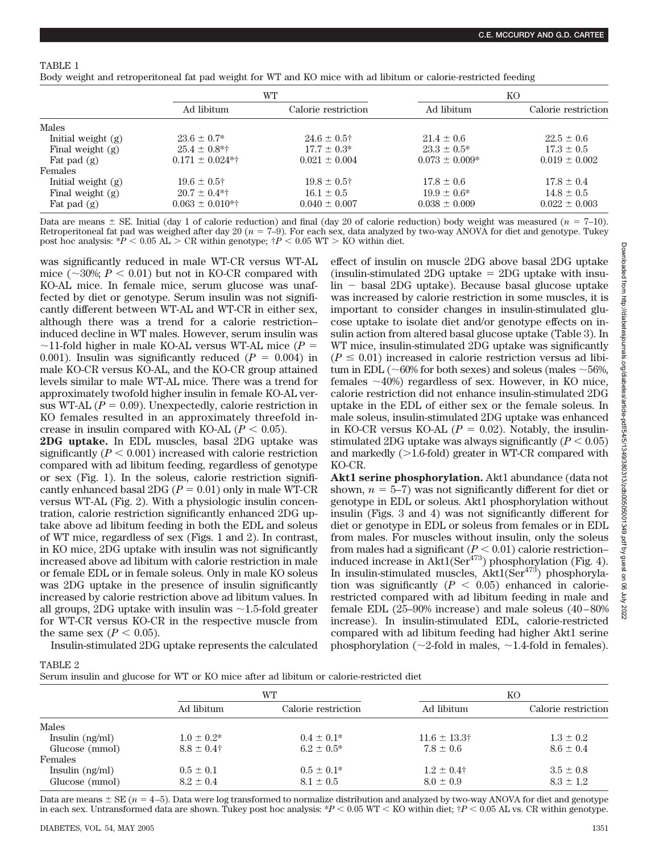# TABLE 1

Body weight and retroperitoneal fat pad weight for WT and KO mice with ad libitum or calorie-restricted feeding

|                      | WT                     |                     | KΟ                 |                     |
|----------------------|------------------------|---------------------|--------------------|---------------------|
|                      | Ad libitum             | Calorie restriction | Ad libitum         | Calorie restriction |
| Males                |                        |                     |                    |                     |
| Initial weight $(g)$ | $23.6 \pm 0.7^*$       | $24.6 \pm 0.5$ †    | $21.4 \pm 0.6$     | $22.5 \pm 0.6$      |
| Final weight $(g)$   | $25.4 \pm 0.8$ *†      | $17.7 \pm 0.3^*$    | $23.3 \pm 0.5^*$   | $17.3 \pm 0.5$      |
| Fat pad $(g)$        | $0.171 \pm 0.024**$    | $0.021 \pm 0.004$   | $0.073 \pm 0.009*$ | $0.019 \pm 0.002$   |
| Females              |                        |                     |                    |                     |
| Initial weight $(g)$ | $19.6 \pm 0.5^+$       | $19.8 \pm 0.5$ †    | $17.8 \pm 0.6$     | $17.8 \pm 0.4$      |
| Final weight $(g)$   | $20.7 \pm 0.4$ *†      | $16.1 \pm 0.5$      | $19.9 + 0.6*$      | $14.8 \pm 0.5$      |
| Fat pad $(g)$        | $0.063 \pm 0.010^{*+}$ | $0.040 \pm 0.007$   | $0.038 \pm 0.009$  | $0.022 \pm 0.003$   |

Data are means  $\pm$  SE. Initial (day 1 of calorie reduction) and final (day 20 of calorie reduction) body weight was measured ( $n = 7$ –10). Retroperitoneal fat pad was weighed after day 20 ( $n = 7-9$ ). For each sex, data analyzed by two-way ANOVA for diet and genotype. Tukey post hoc analysis: \**P*  $\lt$  0.05 AL  $\gt$  CR within genotype;  $\uparrow$  *P*  $\lt$  0.05 WT  $\gt$  KO within diet.

was significantly reduced in male WT-CR versus WT-AL mice ( $\sim$ 30%;  $P < 0.01$ ) but not in KO-CR compared with KO-AL mice. In female mice, serum glucose was unaffected by diet or genotype. Serum insulin was not significantly different between WT-AL and WT-CR in either sex, although there was a trend for a calorie restriction– induced decline in WT males. However, serum insulin was  $\sim$ 11-fold higher in male KO-AL versus WT-AL mice ( $P =$ 0.001). Insulin was significantly reduced  $(P = 0.004)$  in male KO-CR versus KO-AL, and the KO-CR group attained levels similar to male WT-AL mice. There was a trend for approximately twofold higher insulin in female KO-AL versus WT-AL  $(P = 0.09)$ . Unexpectedly, calorie restriction in KO females resulted in an approximately threefold increase in insulin compared with KO-AL  $(P < 0.05)$ .

**2DG uptake.** In EDL muscles, basal 2DG uptake was significantly  $(P < 0.001)$  increased with calorie restriction compared with ad libitum feeding, regardless of genotype or sex (Fig. 1). In the soleus, calorie restriction significantly enhanced basal 2DG  $(P = 0.01)$  only in male WT-CR versus WT-AL (Fig. 2). With a physiologic insulin concentration, calorie restriction significantly enhanced 2DG uptake above ad libitum feeding in both the EDL and soleus of WT mice, regardless of sex (Figs. 1 and 2). In contrast, in KO mice, 2DG uptake with insulin was not significantly increased above ad libitum with calorie restriction in male or female EDL or in female soleus. Only in male KO soleus was 2DG uptake in the presence of insulin significantly increased by calorie restriction above ad libitum values. In all groups, 2DG uptake with insulin was  $\sim$ 1.5-fold greater for WT-CR versus KO-CR in the respective muscle from the same sex  $(P < 0.05)$ .

Insulin-stimulated 2DG uptake represents the calculated

effect of insulin on muscle 2DG above basal 2DG uptake  $(insulin-stimulated 2DG uptake = 2DG uptake with insu$ lin - basal 2DG uptake). Because basal glucose uptake was increased by calorie restriction in some muscles, it is important to consider changes in insulin-stimulated glucose uptake to isolate diet and/or genotype effects on insulin action from altered basal glucose uptake (Table 3). In WT mice, insulin-stimulated 2DG uptake was significantly  $(P \leq 0.01)$  increased in calorie restriction versus ad libitum in EDL ( $\sim$ 60% for both sexes) and soleus (males  $\sim$ 56%, females  $\sim$ 40%) regardless of sex. However, in KO mice, calorie restriction did not enhance insulin-stimulated 2DG uptake in the EDL of either sex or the female soleus. In male soleus, insulin-stimulated 2DG uptake was enhanced in KO-CR versus KO-AL  $(P = 0.02)$ . Notably, the insulinstimulated 2DG uptake was always significantly  $(P < 0.05)$ and markedly  $(>1.6$ -fold) greater in WT-CR compared with KO-CR.

**Akt1 serine phosphorylation.** Akt1 abundance (data not shown,  $n = 5-7$ ) was not significantly different for diet or genotype in EDL or soleus. Akt1 phosphorylation without insulin (Figs. 3 and 4) was not significantly different for diet or genotype in EDL or soleus from females or in EDL from males. For muscles without insulin, only the soleus from males had a significant  $(P < 0.01)$  calorie restriction– induced increase in  $\text{Akt1}(\text{Ser}^{473})$  phosphorylation (Fig. 4). In insulin-stimulated muscles,  $\text{Akt1}(\text{Ser}^{473})$  phosphorylation was significantly  $(P < 0.05)$  enhanced in calorierestricted compared with ad libitum feeding in male and female EDL (25–90% increase) and male soleus (40–80% increase). In insulin-stimulated EDL, calorie-restricted compared with ad libitum feeding had higher Akt1 serine phosphorylation ( $\sim$ 2-fold in males,  $\sim$ 1.4-fold in females).

TABLE 2

Serum insulin and glucose for WT or KO mice after ad libitum or calorie-restricted diet

|                   | WТ              |                     | KO                        |                     |
|-------------------|-----------------|---------------------|---------------------------|---------------------|
|                   | Ad libitum      | Calorie restriction | Ad libitum                | Calorie restriction |
| Males             |                 |                     |                           |                     |
| Insulin $(ng/ml)$ | $1.0 \pm 0.2^*$ | $0.4 \pm 0.1*$      | $11.6 \pm 13.3^{\dagger}$ | $1.3 \pm 0.2$       |
| Glucose (mmol)    | $8.8 \pm 0.4$ † | $6.2 \pm 0.5^*$     | $7.8 \pm 0.6$             | $8.6 \pm 0.4$       |
| Females           |                 |                     |                           |                     |
| Insulin $(ng/ml)$ | $0.5 \pm 0.1$   | $0.5 \pm 0.1*$      | $1.2 \pm 0.4$             | $3.5 \pm 0.8$       |
| Glucose (mmol)    | $8.2 \pm 0.4$   | $8.1 \pm 0.5$       | $8.0 \pm 0.9$             | $8.3 \pm 1.2$       |

Data are means  $\pm$  SE ( $n = 4$ –5). Data were log transformed to normalize distribution and analyzed by two-way ANOVA for diet and genotype in each sex. Untransformed data are shown. Tukey post hoc analysis:  $*P < 0.05$  WT  $<$  KO within diet;  $\dagger P < 0.05$  AL vs. CR within genotype.

**Ally** 2022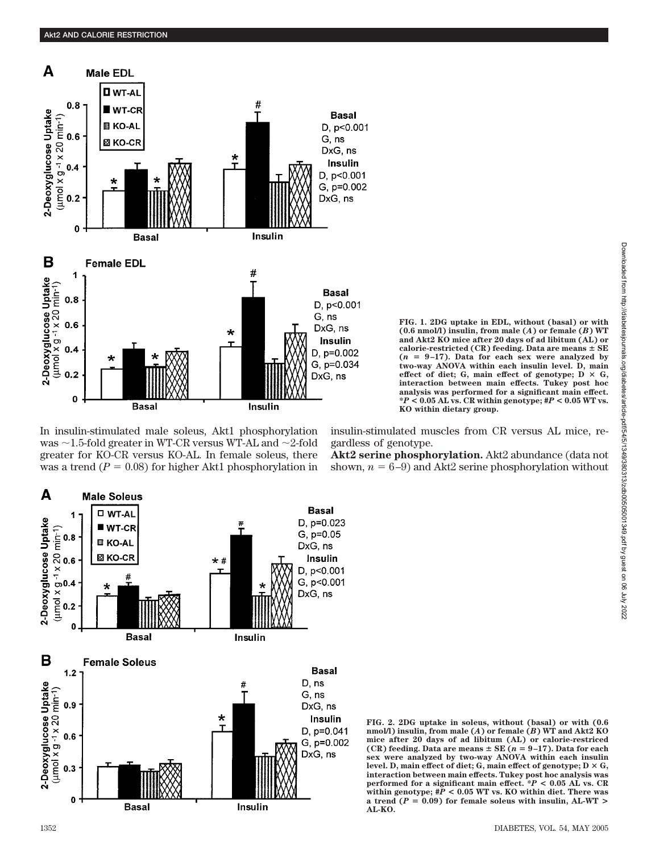

In insulin-stimulated male soleus, Akt1 phosphorylation was  $\sim$  1.5-fold greater in WT-CR versus WT-AL and  $\sim$ 2-fold greater for KO-CR versus KO-AL. In female soleus, there was a trend  $(P = 0.08)$  for higher Akt1 phosphorylation in



**FIG. 1. 2DG uptake in EDL, without (basal) or with (0.6 nmol/l) insulin, from male (***A***) or female (***B***) WT and Akt2 KO mice after 20 days of ad libitum (AL) or calorie-restricted (CR) feeding. Data are means SE**  $(n = 9-17)$ . Data for each sex were analyzed by **two-way ANOVA within each insulin level. D, main** effect of diet; G, main effect of genotype;  $D \times G$ , **interaction between main effects. Tukey post hoc analysis was performed for a significant main effect. \****P* **< 0.05 AL vs. CR within genotype; #***P* **< 0.05 WT vs. KO within dietary group.**

insulin-stimulated muscles from CR versus AL mice, regardless of genotype.

**Akt2 serine phosphorylation.** Akt2 abundance (data not shown,  $n = 6-9$ ) and Akt2 serine phosphorylation without

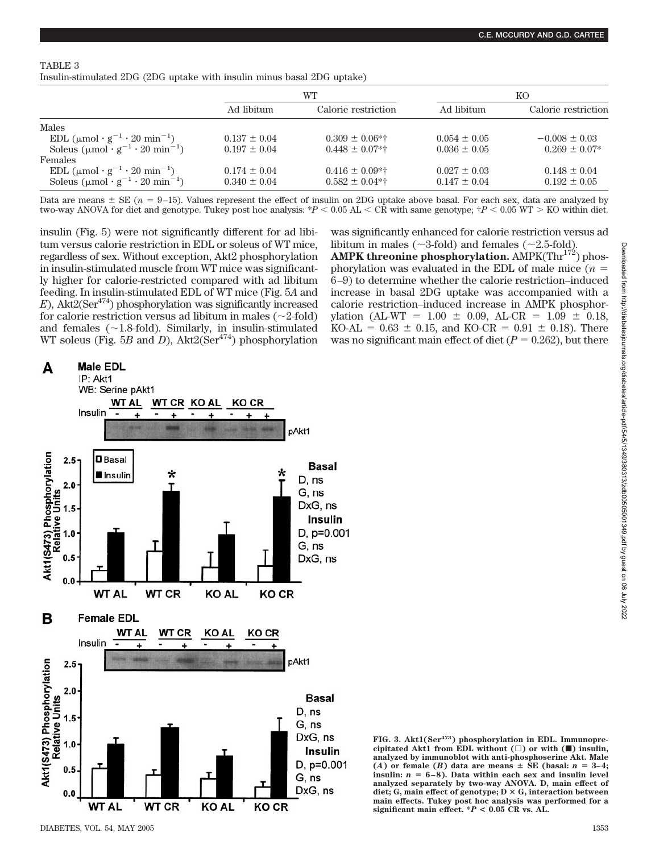| т.<br>AD 1. |  |  |
|-------------|--|--|
|-------------|--|--|

Insulin-stimulated 2DG (2DG uptake with insulin minus basal 2DG uptake)

|                                                                         | WТ               |                     |                  | KO.                 |  |
|-------------------------------------------------------------------------|------------------|---------------------|------------------|---------------------|--|
|                                                                         | Ad libitum       | Calorie restriction | Ad libitum       | Calorie restriction |  |
| Males                                                                   |                  |                     |                  |                     |  |
| EDL $(\mu \text{mol} \cdot \text{g}^{-1} \cdot 20 \text{ min}^{-1})$    | $0.137 \pm 0.04$ | $0.309 \pm 0.06$ *† | $0.054 \pm 0.05$ | $-0.008 \pm 0.03$   |  |
| Soleus $(\mu \text{mol} \cdot \text{g}^{-1} \cdot 20 \text{ min}^{-1})$ | $0.197 \pm 0.04$ | $0.448 \pm 0.07$ *† | $0.036 \pm 0.05$ | $0.269 \pm 0.07*$   |  |
| <b>Females</b>                                                          |                  |                     |                  |                     |  |
| EDL $(\mu \text{mol} \cdot \text{g}^{-1} \cdot 20 \text{ min}^{-1})$    | $0.174 \pm 0.04$ | $0.416 \pm 0.09**$  | $0.027 \pm 0.03$ | $0.148 \pm 0.04$    |  |
| Soleus $(\mu \text{mol} \cdot \text{g}^{-1} \cdot 20 \text{ min}^{-1})$ | $0.340 \pm 0.04$ | $0.582 \pm 0.04$ *† | $0.147 \pm 0.04$ | $0.192 \pm 0.05$    |  |

Data are means  $\pm$  SE ( $n = 9$ –15). Values represent the effect of insulin on 2DG uptake above basal. For each sex, data are analyzed by two-way ANOVA for diet and genotype. Tukey post hoc analysis:  $*P < 0.05$  AL  $<$  CR with same genotype;  $\dagger P < 0.05$  WT  $>$  KO within diet.

insulin (Fig. 5) were not significantly different for ad libitum versus calorie restriction in EDL or soleus of WT mice, regardless of sex. Without exception, Akt2 phosphorylation in insulin-stimulated muscle from WT mice was significantly higher for calorie-restricted compared with ad libitum feeding. In insulin-stimulated EDL of WT mice (Fig. 5*A* and  $E$ ), Akt2(Ser<sup>474</sup>) phosphorylation was significantly increased for calorie restriction versus ad libitum in males  $(\sim 2\text{-fold})$ and females  $(\sim1.8\text{-fold})$ . Similarly, in insulin-stimulated WT soleus (Fig. 5*B* and *D*),  $\text{Akt2}(\text{Ser}^{474})$  phosphorylation was significantly enhanced for calorie restriction versus ad libitum in males ( $\sim$ 3-fold) and females ( $\sim$ 2.5-fold).

**AMPK threonine phosphorylation.** AMPK(Thr<sup>172</sup>) phosphorylation was evaluated in the EDL of male mice  $(n =$ 6–9) to determine whether the calorie restriction–induced increase in basal 2DG uptake was accompanied with a calorie restriction–induced increase in AMPK phosphorylation (AL-WT =  $1.00 \pm 0.09$ , AL-CR =  $1.09 \pm 0.18$ ,  $KO-AL = 0.63 \pm 0.15$ , and  $KO-CR = 0.91 \pm 0.18$ ). There was no significant main effect of diet  $(P = 0.262)$ , but there



**FIG. 3. Akt1(Ser473) phosphorylation in EDL. Immunopre**cipitated Akt1 from EDL without  $(\Box)$  or with  $(\blacksquare)$  insulin, **analyzed by immunoblot with anti-phosphoserine Akt. Male**  $(A)$  or female  $(B)$  data are means  $\pm$  SE (basal:  $n = 3-4$ ; **insulin:** *n* - **6–8). Data within each sex and insulin level analyzed separately by two-way ANOVA. D, main effect of** diet; G, main effect of genotype;  $D \times G$ , interaction between **main effects. Tukey post hoc analysis was performed for a significant main effect. \****P* **< 0.05 CR vs. AL.**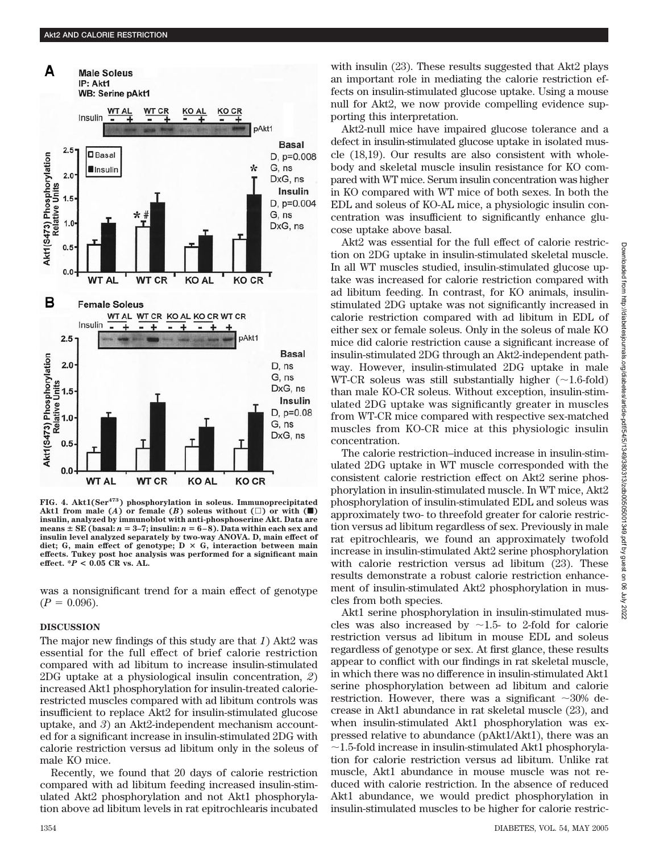

**FIG. 4. Akt1(Ser473) phosphorylation in soleus. Immunoprecipitated** Akt1 from male  $(A)$  or female  $(B)$  soleus without  $(\Box)$  or with  $(\blacksquare)$ **insulin, analyzed by immunoblot with anti-phosphoserine Akt. Data are means SE (basal:** *n* - **3–7; insulin:** *n* - **6–8). Data within each sex and insulin level analyzed separately by two-way ANOVA. D, main effect of diet; G, main effect of genotype; D G, interaction between main effects. Tukey post hoc analysis was performed for a significant main effect. \****P* **< 0.05 CR vs. AL.**

was a nonsignificant trend for a main effect of genotype  $(P = 0.096)$ .

#### **DISCUSSION**

The major new findings of this study are that *1*) Akt2 was essential for the full effect of brief calorie restriction compared with ad libitum to increase insulin-stimulated 2DG uptake at a physiological insulin concentration, *2*) increased Akt1 phosphorylation for insulin-treated calorierestricted muscles compared with ad libitum controls was insufficient to replace Akt2 for insulin-stimulated glucose uptake, and *3*) an Akt2-independent mechanism accounted for a significant increase in insulin-stimulated 2DG with calorie restriction versus ad libitum only in the soleus of male KO mice.

Recently, we found that 20 days of calorie restriction compared with ad libitum feeding increased insulin-stimulated Akt2 phosphorylation and not Akt1 phosphorylation above ad libitum levels in rat epitrochlearis incubated with insulin (23). These results suggested that Akt2 plays an important role in mediating the calorie restriction effects on insulin-stimulated glucose uptake. Using a mouse null for Akt2, we now provide compelling evidence supporting this interpretation.

Akt2-null mice have impaired glucose tolerance and a defect in insulin-stimulated glucose uptake in isolated muscle (18,19). Our results are also consistent with wholebody and skeletal muscle insulin resistance for KO compared with WT mice. Serum insulin concentration was higher in KO compared with WT mice of both sexes. In both the EDL and soleus of KO-AL mice, a physiologic insulin concentration was insufficient to significantly enhance glucose uptake above basal.

Akt2 was essential for the full effect of calorie restriction on 2DG uptake in insulin-stimulated skeletal muscle. In all WT muscles studied, insulin-stimulated glucose uptake was increased for calorie restriction compared with ad libitum feeding. In contrast, for KO animals, insulinstimulated 2DG uptake was not significantly increased in calorie restriction compared with ad libitum in EDL of either sex or female soleus. Only in the soleus of male KO mice did calorie restriction cause a significant increase of insulin-stimulated 2DG through an Akt2-independent pathway. However, insulin-stimulated 2DG uptake in male WT-CR soleus was still substantially higher  $(\sim 1.6\text{-}fold)$ than male KO-CR soleus. Without exception, insulin-stimulated 2DG uptake was significantly greater in muscles from WT-CR mice compared with respective sex-matched muscles from KO-CR mice at this physiologic insulin concentration.

The calorie restriction–induced increase in insulin-stimulated 2DG uptake in WT muscle corresponded with the consistent calorie restriction effect on Akt2 serine phosphorylation in insulin-stimulated muscle. In WT mice, Akt2 phosphorylation of insulin-stimulated EDL and soleus was approximately two- to threefold greater for calorie restriction versus ad libitum regardless of sex. Previously in male rat epitrochlearis, we found an approximately twofold increase in insulin-stimulated Akt2 serine phosphorylation with calorie restriction versus ad libitum (23). These results demonstrate a robust calorie restriction enhancement of insulin-stimulated Akt2 phosphorylation in muscles from both species.

Akt1 serine phosphorylation in insulin-stimulated muscles was also increased by  $\sim$ 1.5- to 2-fold for calorie restriction versus ad libitum in mouse EDL and soleus regardless of genotype or sex. At first glance, these results appear to conflict with our findings in rat skeletal muscle, in which there was no difference in insulin-stimulated Akt1 serine phosphorylation between ad libitum and calorie restriction. However, there was a significant  $\sim$ 30% decrease in Akt1 abundance in rat skeletal muscle (23), and when insulin-stimulated Akt1 phosphorylation was expressed relative to abundance (pAkt1/Akt1), there was an  $\sim$ 1.5-fold increase in insulin-stimulated Akt1 phosphorylation for calorie restriction versus ad libitum. Unlike rat muscle, Akt1 abundance in mouse muscle was not reduced with calorie restriction. In the absence of reduced Akt1 abundance, we would predict phosphorylation in insulin-stimulated muscles to be higher for calorie restric-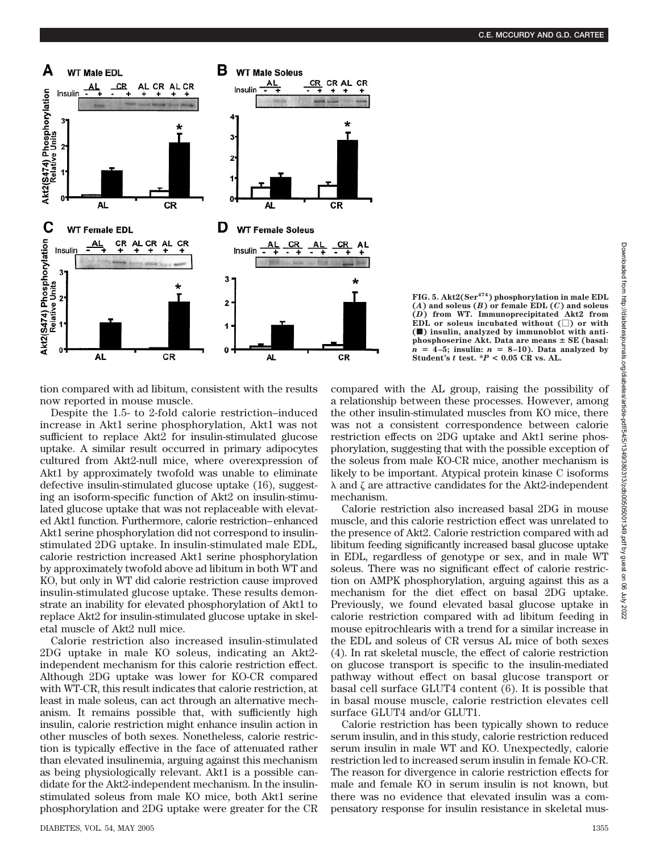

**FIG. 5. Akt2(Ser474) phosphorylation in male EDL (***A***) and soleus (***B***) or female EDL (***C***) and soleus (***D***) from WT. Immunoprecipitated Akt2 from** EDL or soleus incubated without  $(\square)$  or with **(**f**) insulin, analyzed by immunoblot with antiphosphoserine Akt. Data are means SE (basal:**  $n = 4-5$ ; insulin:  $n = 8-10$ ). Data analyzed by Student's  $t$  test.  $*P < 0.05$  CR vs. AL.

tion compared with ad libitum, consistent with the results now reported in mouse muscle.

Despite the 1.5- to 2-fold calorie restriction–induced increase in Akt1 serine phosphorylation, Akt1 was not sufficient to replace Akt2 for insulin-stimulated glucose uptake. A similar result occurred in primary adipocytes cultured from Akt2-null mice, where overexpression of Akt1 by approximately twofold was unable to eliminate defective insulin-stimulated glucose uptake (16), suggesting an isoform-specific function of Akt2 on insulin-stimulated glucose uptake that was not replaceable with elevated Akt1 function. Furthermore, calorie restriction–enhanced Akt1 serine phosphorylation did not correspond to insulinstimulated 2DG uptake. In insulin-stimulated male EDL, calorie restriction increased Akt1 serine phosphorylation by approximately twofold above ad libitum in both WT and KO, but only in WT did calorie restriction cause improved insulin-stimulated glucose uptake. These results demonstrate an inability for elevated phosphorylation of Akt1 to replace Akt2 for insulin-stimulated glucose uptake in skeletal muscle of Akt2 null mice.

Calorie restriction also increased insulin-stimulated 2DG uptake in male KO soleus, indicating an Akt2 independent mechanism for this calorie restriction effect. Although 2DG uptake was lower for KO-CR compared with WT-CR, this result indicates that calorie restriction, at least in male soleus, can act through an alternative mechanism. It remains possible that, with sufficiently high insulin, calorie restriction might enhance insulin action in other muscles of both sexes. Nonetheless, calorie restriction is typically effective in the face of attenuated rather than elevated insulinemia, arguing against this mechanism as being physiologically relevant. Akt1 is a possible candidate for the Akt2-independent mechanism. In the insulinstimulated soleus from male KO mice, both Akt1 serine phosphorylation and 2DG uptake were greater for the CR compared with the AL group, raising the possibility of a relationship between these processes. However, among the other insulin-stimulated muscles from KO mice, there was not a consistent correspondence between calorie restriction effects on 2DG uptake and Akt1 serine phosphorylation, suggesting that with the possible exception of the soleus from male KO-CR mice, another mechanism is likely to be important. Atypical protein kinase C isoforms  $\lambda$  and  $\zeta$  are attractive candidates for the Akt2-independent mechanism.

Calorie restriction also increased basal 2DG in mouse muscle, and this calorie restriction effect was unrelated to the presence of Akt2. Calorie restriction compared with ad libitum feeding significantly increased basal glucose uptake in EDL, regardless of genotype or sex, and in male WT soleus. There was no significant effect of calorie restriction on AMPK phosphorylation, arguing against this as a mechanism for the diet effect on basal 2DG uptake. Previously, we found elevated basal glucose uptake in calorie restriction compared with ad libitum feeding in mouse epitrochlearis with a trend for a similar increase in the EDL and soleus of CR versus AL mice of both sexes (4). In rat skeletal muscle, the effect of calorie restriction on glucose transport is specific to the insulin-mediated pathway without effect on basal glucose transport or basal cell surface GLUT4 content (6). It is possible that in basal mouse muscle, calorie restriction elevates cell surface GLUT4 and/or GLUT1.

Calorie restriction has been typically shown to reduce serum insulin, and in this study, calorie restriction reduced serum insulin in male WT and KO. Unexpectedly, calorie restriction led to increased serum insulin in female KO-CR. The reason for divergence in calorie restriction effects for male and female KO in serum insulin is not known, but there was no evidence that elevated insulin was a compensatory response for insulin resistance in skeletal mus-